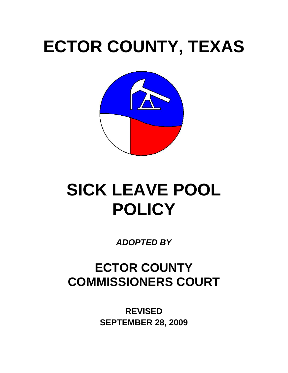# **ECTOR COUNTY, TEXAS**



## **SICK LEAVE POOL POLICY**

*ADOPTED BY* 

## **ECTOR COUNTY COMMISSIONERS COURT**

**REVISED SEPTEMBER 28, 2009**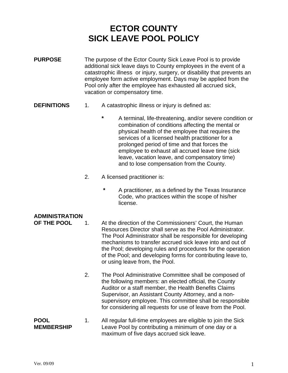### **ECTOR COUNTY SICK LEAVE POOL POLICY**

- **PURPOSE** The purpose of the Ector County Sick Leave Pool is to provide additional sick leave days to County employees in the event of a catastrophic illness or injury, surgery, or disability that prevents an employee form active employment. Days may be applied from the Pool only after the employee has exhausted all accrued sick, vacation or compensatory time.
- **DEFINITIONS** 1. A catastrophic illness or injury is defined as:
	- **\*** A terminal, life-threatening, and/or severe condition or combination of conditions affecting the mental or physical health of the employee that requires the services of a licensed health practitioner for a prolonged period of time and that forces the employee to exhaust all accrued leave time (sick leave, vacation leave, and compensatory time) and to lose compensation from the County.
	- 2. A licensed practitioner is:
		- **\*** A practitioner, as a defined by the Texas Insurance Code, who practices within the scope of his/her license.

- **OF THE POOL** 1. At the direction of the Commissioners' Court, the Human Resources Director shall serve as the Pool Administrator. The Pool Administrator shall be responsible for developing mechanisms to transfer accrued sick leave into and out of the Pool; developing rules and procedures for the operation of the Pool; and developing forms for contributing leave to, or using leave from, the Pool.
	- 2. The Pool Administrative Committee shall be composed of the following members: an elected official, the County Auditor or a staff member, the Health Benefits Claims Supervisor, an Assistant County Attorney, and a nonsupervisory employee. This committee shall be responsible for considering all requests for use of leave from the Pool.
- **POOL** 1. All regular full-time employees are eligible to join the Sick **MEMBERSHIP** Leave Pool by contributing a minimum of one day or a maximum of five days accrued sick leave.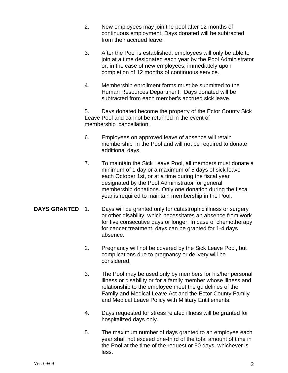- 2. New employees may join the pool after 12 months of continuous employment. Days donated will be subtracted from their accrued leave.
- 3. After the Pool is established, employees will only be able to join at a time designated each year by the Pool Administrator or, in the case of new employees, immediately upon completion of 12 months of continuous service.
- 4. Membership enrollment forms must be submitted to the Human Resources Department. Days donated will be subtracted from each member's accrued sick leave.

5. Days donated become the property of the Ector County Sick Leave Pool and cannot be returned in the event of membership cancellation.

- 6. Employees on approved leave of absence will retain membership in the Pool and will not be required to donate additional days.
- 7. To maintain the Sick Leave Pool, all members must donate a minimum of 1 day or a maximum of 5 days of sick leave each October 1st, or at a time during the fiscal year designated by the Pool Administrator for general membership donations. Only one donation during the fiscal year is required to maintain membership in the Pool.
- **DAYS GRANTED** 1. Days will be granted only for catastrophic illness or surgery or other disability, which necessitates an absence from work for five consecutive days or longer. In case of chemotherapy for cancer treatment, days can be granted for 1-4 days absence.
	- 2. Pregnancy will not be covered by the Sick Leave Pool, but complications due to pregnancy or delivery will be considered.
	- 3. The Pool may be used only by members for his/her personal illness or disability or for a family member whose illness and relationship to the employee meet the guidelines of the Family and Medical Leave Act and the Ector County Family and Medical Leave Policy with Military Entitlements.
	- 4. Days requested for stress related illness will be granted for hospitalized days only.
	- 5. The maximum number of days granted to an employee each year shall not exceed one-third of the total amount of time in the Pool at the time of the request or 90 days, whichever is less.